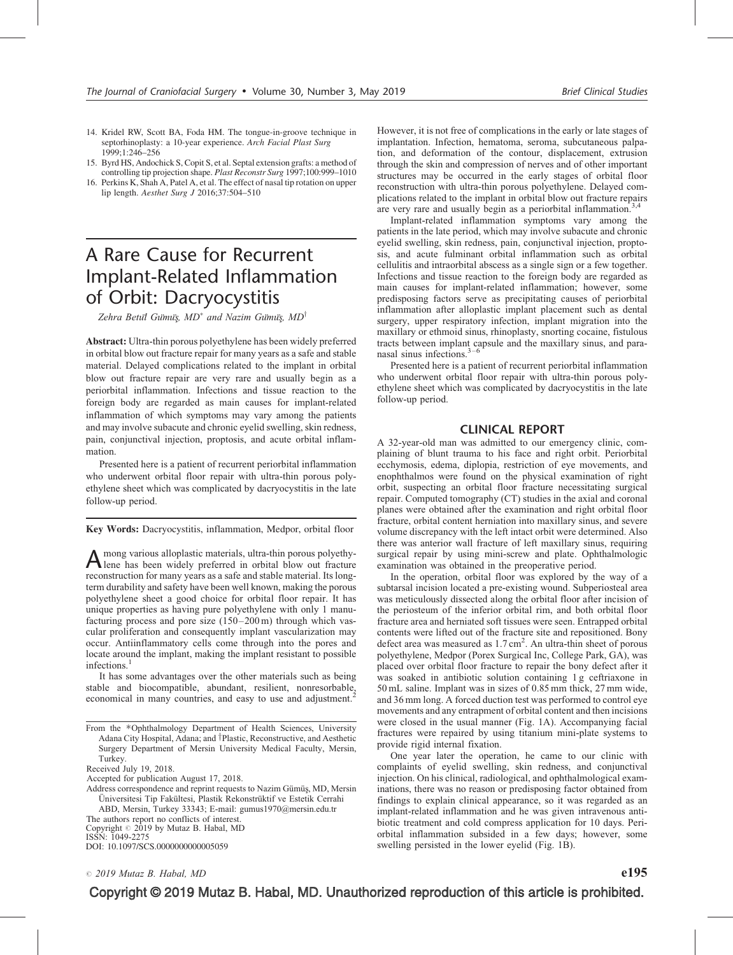- 14. Kridel RW, Scott BA, Foda HM. The tongue-in-groove technique in septorhinoplasty: a 10-year experience. Arch Facial Plast Surg 1999;1:246–256
- 15. Byrd HS, Andochick S, Copit S, et al. Septal extension grafts: a method of controlling tip projection shape. Plast Reconstr Surg 1997;100:999–1010
- 16. Perkins K, Shah A, Patel A, et al. The effect of nasal tip rotation on upper lip length. Aesthet Surg J 2016;37:504–510

# A Rare Cause for Recurrent Implant-Related Inflammation of Orbit: Dacryocystitis

Zehra Betul Gümüş, MD<sup>\*</sup> and Nazim Gümüş, MD<sup>†</sup>

Abstract: Ultra-thin porous polyethylene has been widely preferred in orbital blow out fracture repair for many years as a safe and stable material. Delayed complications related to the implant in orbital blow out fracture repair are very rare and usually begin as a periorbital inflammation. Infections and tissue reaction to the foreign body are regarded as main causes for implant-related inflammation of which symptoms may vary among the patients and may involve subacute and chronic eyelid swelling, skin redness, pain, conjunctival injection, proptosis, and acute orbital inflammation.

Presented here is a patient of recurrent periorbital inflammation who underwent orbital floor repair with ultra-thin porous polyethylene sheet which was complicated by dacryocystitis in the late follow-up period.

Key Words: Dacryocystitis, inflammation, Medpor, orbital floor

A mong various alloplastic materials, ultra-thin porous polyethy-<br>lene has been widely preferred in orbital blow out fracture reconstruction for many years as a safe and stable material. Its longterm durability and safety have been well known, making the porous polyethylene sheet a good choice for orbital floor repair. It has unique properties as having pure polyethylene with only 1 manufacturing process and pore size (150–200 m) through which vascular proliferation and consequently implant vascularization may occur. Antiinflammatory cells come through into the pores and locate around the implant, making the implant resistant to possible infections<sup>1</sup>

It has some advantages over the other materials such as being stable and biocompatible, abundant, resilient, nonresorbable, economical in many countries, and easy to use and adjustment.<sup>2</sup>

The authors report no conflicts of interest.

Copyright  $\odot$  2019 by Mutaz B. Habal, MD

ISSN: 1049-2275

DOI: [10.1097/SCS.0000000000005059](http://dx.doi.org/10.1097/SCS.0000000000005089)

However, it is not free of complications in the early or late stages of implantation. Infection, hematoma, seroma, subcutaneous palpation, and deformation of the contour, displacement, extrusion through the skin and compression of nerves and of other important structures may be occurred in the early stages of orbital floor reconstruction with ultra-thin porous polyethylene. Delayed complications related to the implant in orbital blow out fracture repairs are very rare and usually begin as a periorbital inflammation.<sup>3</sup>

Implant-related inflammation symptoms vary among the patients in the late period, which may involve subacute and chronic eyelid swelling, skin redness, pain, conjunctival injection, proptosis, and acute fulminant orbital inflammation such as orbital cellulitis and intraorbital abscess as a single sign or a few together. Infections and tissue reaction to the foreign body are regarded as main causes for implant-related inflammation; however, some predisposing factors serve as precipitating causes of periorbital inflammation after alloplastic implant placement such as dental surgery, upper respiratory infection, implant migration into the maxillary or ethmoid sinus, rhinoplasty, snorting cocaine, fistulous tracts between implant capsule and the maxillary sinus, and paranasal sinus infections.3–6

Presented here is a patient of recurrent periorbital inflammation who underwent orbital floor repair with ultra-thin porous polyethylene sheet which was complicated by dacryocystitis in the late follow-up period.

### CLINICAL REPORT

A 32-year-old man was admitted to our emergency clinic, complaining of blunt trauma to his face and right orbit. Periorbital ecchymosis, edema, diplopia, restriction of eye movements, and enophthalmos were found on the physical examination of right orbit, suspecting an orbital floor fracture necessitating surgical repair. Computed tomography (CT) studies in the axial and coronal planes were obtained after the examination and right orbital floor fracture, orbital content herniation into maxillary sinus, and severe volume discrepancy with the left intact orbit were determined. Also there was anterior wall fracture of left maxillary sinus, requiring surgical repair by using mini-screw and plate. Ophthalmologic examination was obtained in the preoperative period.

In the operation, orbital floor was explored by the way of a subtarsal incision located a pre-existing wound. Subperiosteal area was meticulously dissected along the orbital floor after incision of the periosteum of the inferior orbital rim, and both orbital floor fracture area and herniated soft tissues were seen. Entrapped orbital contents were lifted out of the fracture site and repositioned. Bony defect area was measured as  $1.7 \text{ cm}^2$ . An ultra-thin sheet of porous polyethylene, Medpor (Porex Surgical Inc, College Park, GA), was placed over orbital floor fracture to repair the bony defect after it was soaked in antibiotic solution containing 1 g ceftriaxone in 50 mL saline. Implant was in sizes of 0.85 mm thick, 27 mm wide, and 36 mm long. A forced duction test was performed to control eye movements and any entrapment of orbital content and then incisions were closed in the usual manner (Fig. 1A). Accompanying facial fractures were repaired by using titanium mini-plate systems to provide rigid internal fixation.

One year later the operation, he came to our clinic with complaints of eyelid swelling, skin redness, and conjunctival injection. On his clinical, radiological, and ophthalmological examinations, there was no reason or predisposing factor obtained from findings to explain clinical appearance, so it was regarded as an implant-related inflammation and he was given intravenous antibiotic treatment and cold compress application for 10 days. Periorbital inflammation subsided in a few days; however, some swelling persisted in the lower eyelid (Fig. 1B).

Copyright © 2019 Mutaz B. Habal, MD. Unauthorized reproduction of this article is prohibited.

From the \*Ophthalmology Department of Health Sciences, University Adana City Hospital, Adana; and <sup>†</sup>Plastic, Reconstructive, and Aesthetic Surgery Department of Mersin University Medical Faculty, Mersin, **Turkey** 

Received July 19, 2018.

Accepted for publication August 17, 2018.

Address correspondence and reprint requests to Nazim Gümüş, MD, Mersin Üniversitesi Tip Fakültesi, Plastik Rekonstrüktif ve Estetik Cerrahi ABD, Mersin, Turkey 33343; E-mail: [gumus1970@mersin.edu.tr](mailto:gumus1970@mersin.edu.tr)

 $\degree$  2019 Mutaz B. Habal, MD e195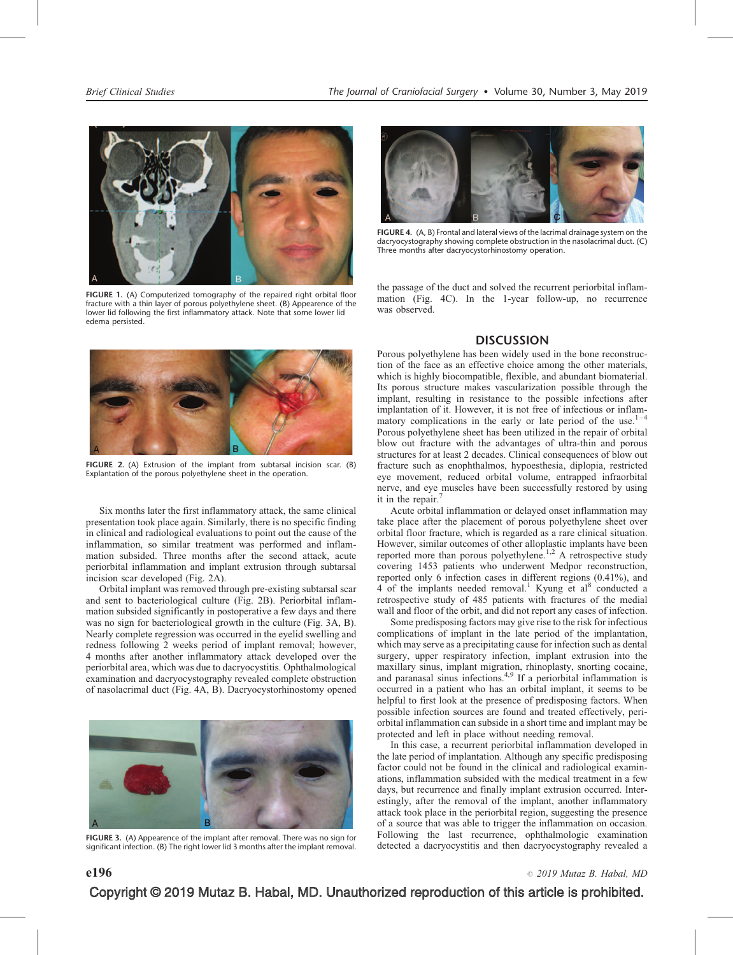

FIGURE 1. (A) Computerized tomography of the repaired right orbital floor fracture with a thin layer of porous polyethylene sheet. (B) Appearence of the lower lid following the first inflammatory attack. Note that some lower lid edema persisted.



FIGURE 4. (A, B) Frontal and lateral views of the lacrimal drainage system on the dacryocystography showing complete obstruction in the nasolacrimal duct. (C) Three months after dacryocystorhinostomy operation.

the passage of the duct and solved the recurrent periorbital inflammation (Fig. 4C). In the 1-year follow-up, no recurrence was observed.

### **DISCUSSION**



FIGURE 2. (A) Extrusion of the implant from subtarsal incision scar. (B) Explantation of the porous polyethylene sheet in the operation.

Six months later the first inflammatory attack, the same clinical presentation took place again. Similarly, there is no specific finding in clinical and radiological evaluations to point out the cause of the inflammation, so similar treatment was performed and inflammation subsided. Three months after the second attack, acute periorbital inflammation and implant extrusion through subtarsal incision scar developed (Fig. 2A).

Orbital implant was removed through pre-existing subtarsal scar and sent to bacteriological culture (Fig. 2B). Periorbital inflammation subsided significantly in postoperative a few days and there was no sign for bacteriological growth in the culture (Fig. 3A, B). Nearly complete regression was occurred in the eyelid swelling and redness following 2 weeks period of implant removal; however, 4 months after another inflammatory attack developed over the periorbital area, which was due to dacryocystitis. Ophthalmological examination and dacryocystography revealed complete obstruction of nasolacrimal duct (Fig. 4A, B). Dacryocystorhinostomy opened



FIGURE 3. (A) Appearence of the implant after removal. There was no sign for significant infection. (B) The right lower lid 3 months after the implant removal.

Porous polyethylene has been widely used in the bone reconstruction of the face as an effective choice among the other materials, which is highly biocompatible, flexible, and abundant biomaterial. Its porous structure makes vascularization possible through the implant, resulting in resistance to the possible infections after implantation of it. However, it is not free of infectious or inflammatory complications in the early or late period of the use. $1-4$ Porous polyethylene sheet has been utilized in the repair of orbital blow out fracture with the advantages of ultra-thin and porous structures for at least 2 decades. Clinical consequences of blow out fracture such as enophthalmos, hypoesthesia, diplopia, restricted eye movement, reduced orbital volume, entrapped infraorbital nerve, and eye muscles have been successfully restored by using it in the repair.<sup>7</sup>

Acute orbital inflammation or delayed onset inflammation may take place after the placement of porous polyethylene sheet over orbital floor fracture, which is regarded as a rare clinical situation. However, similar outcomes of other alloplastic implants have been reported more than porous polyethylene.<sup>1,2</sup> A retrospective study covering 1453 patients who underwent Medpor reconstruction, reported only 6 infection cases in different regions  $(0.41\%)$ , and 4 of the implants needed removal.<sup>1</sup> Kyung et al<sup>8</sup> conducted a retrospective study of 485 patients with fractures of the medial wall and floor of the orbit, and did not report any cases of infection.

Some predisposing factors may give rise to the risk for infectious complications of implant in the late period of the implantation, which may serve as a precipitating cause for infection such as dental surgery, upper respiratory infection, implant extrusion into the maxillary sinus, implant migration, rhinoplasty, snorting cocaine, and paranasal sinus infections.4,9 If a periorbital inflammation is occurred in a patient who has an orbital implant, it seems to be helpful to first look at the presence of predisposing factors. When possible infection sources are found and treated effectively, periorbital inflammation can subside in a short time and implant may be protected and left in place without needing removal.

In this case, a recurrent periorbital inflammation developed in the late period of implantation. Although any specific predisposing factor could not be found in the clinical and radiological examinations, inflammation subsided with the medical treatment in a few days, but recurrence and finally implant extrusion occurred. Interestingly, after the removal of the implant, another inflammatory attack took place in the periorbital region, suggesting the presence of a source that was able to trigger the inflammation on occasion. Following the last recurrence, ophthalmologic examination detected a dacryocystitis and then dacryocystography revealed a

# Copyright © 2019 Mutaz B. Habal, MD. Unauthorized reproduction of this article is prohibited.